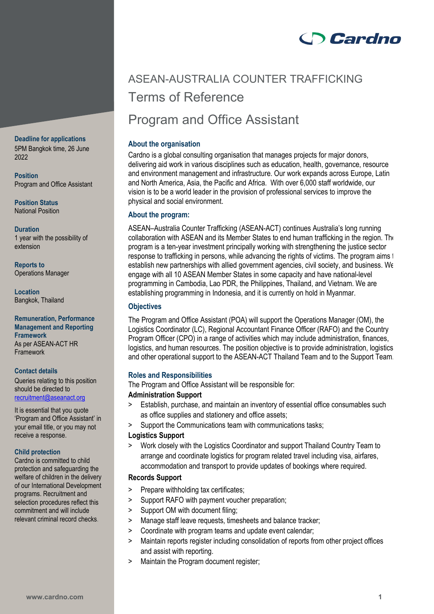# **Cardno**

# ASEAN-AUSTRALIA COUNTER TRAFFICKING Terms of Reference Program and Office Assistant

# **About the organisation**

Cardno is a global consulting organisation that manages projects for major donors, delivering aid work in various disciplines such as education, health, governance, resource and environment management and infrastructure. Our work expands across Europe, Latin and North America, Asia, the Pacific and Africa. With over 6,000 staff worldwide, our vision is to be a world leader in the provision of professional services to improve the physical and social environment.

# **About the program:**

ASEAN–Australia Counter Trafficking (ASEAN-ACT) continues Australia's long running collaboration with ASEAN and its Member States to end human trafficking in the region. The program is a ten-year investment principally working with strengthening the justice sector response to trafficking in persons, while advancing the rights of victims. The program aims t establish new partnerships with allied government agencies, civil society, and business. We engage with all 10 ASEAN Member States in some capacity and have national-level programming in Cambodia, Lao PDR, the Philippines, Thailand, and Vietnam. We are establishing programming in Indonesia, and it is currently on hold in Myanmar.

# **Objectives**

The Program and Office Assistant (POA) will support the Operations Manager (OM), the Logistics Coordinator (LC), Regional Accountant Finance Officer (RAFO) and the Country Program Officer (CPO) in a range of activities which may include administration, finances, logistics, and human resources. The position objective is to provide administration, logistics and other operational support to the ASEAN-ACT Thailand Team and to the Support Team.

# **Roles and Responsibilities**

The Program and Office Assistant will be responsible for:

## **Administration Support**

- > Establish, purchase, and maintain an inventory of essential office consumables such as office supplies and stationery and office assets;
- > Support the Communications team with communications tasks;

# **Logistics Support**

> Work closely with the Logistics Coordinator and support Thailand Country Team to arrange and coordinate logistics for program related travel including visa, airfares, accommodation and transport to provide updates of bookings where required.

# **Records Support**

- > Prepare withholding tax certificates;
- > Support RAFO with payment voucher preparation;
- > Support OM with document filing;
- > Manage staff leave requests, timesheets and balance tracker;
- > Coordinate with program teams and update event calendar;
- > Maintain reports register including consolidation of reports from other project offices and assist with reporting.
- > Maintain the Program document register;

### **Deadline for applications** 5PM Bangkok time, 26 June 2022

**Position** Program and Office Assistant

**Position Status** National Position

**Duration** 1 year with the possibility of extension

**Reports to** Operations Manager

**Location** Bangkok, Thailand

#### **Remuneration, Performance Management and Reporting Framework** As per ASEAN-ACT HR Framework

## **Contact details**

Queries relating to this position should be directed to [recruitment@aseanact.org](mailto:recruitment@aseanact.org)

It is essential that you quote 'Program and Office Assistant' in your email title, or you may not receive a response.

## **Child protection**

Cardno is committed to child protection and safeguarding the welfare of children in the delivery of our International Development programs. Recruitment and selection procedures reflect this commitment and will include relevant criminal record checks.